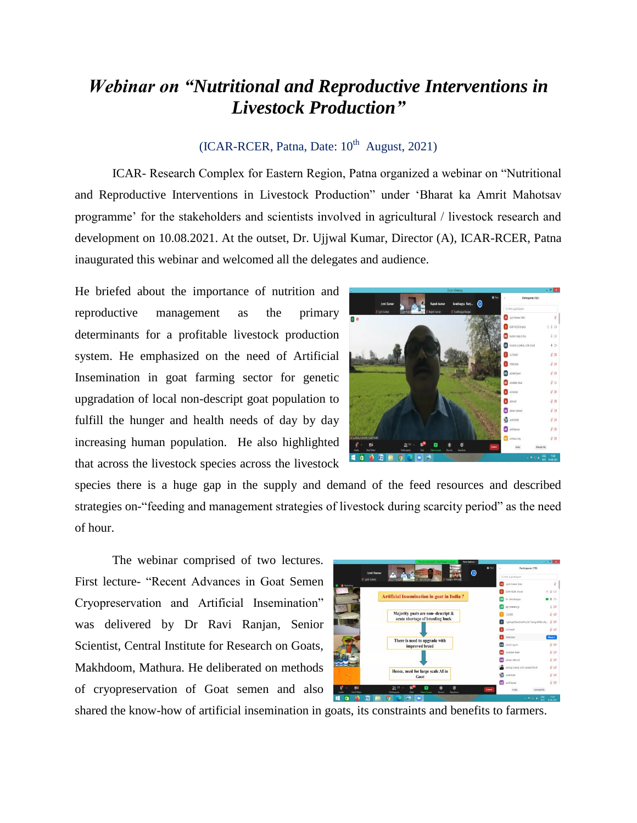## *Webinar on "Nutritional and Reproductive Interventions in Livestock Production"*

## $(ICAR-RCER, Patna, Date: 10<sup>th</sup> August, 2021)$

ICAR- Research Complex for Eastern Region, Patna organized a webinar on "Nutritional and Reproductive Interventions in Livestock Production" under "Bharat ka Amrit Mahotsav programme" for the stakeholders and scientists involved in agricultural / livestock research and development on 10.08.2021. At the outset, Dr. Ujjwal Kumar, Director (A), ICAR-RCER, Patna inaugurated this webinar and welcomed all the delegates and audience.

He briefed about the importance of nutrition and reproductive management as the primary determinants for a profitable livestock production system. He emphasized on the need of Artificial Insemination in goat farming sector for genetic upgradation of local non-descript goat population to fulfill the hunger and health needs of day by day increasing human population. He also highlighted that across the livestock species across the livestock



species there is a huge gap in the supply and demand of the feed resources and described strategies on-"feeding and management strategies of livestock during scarcity period" as the need of hour.

The webinar comprised of two lectures. First lecture- "Recent Advances in Goat Semen Cryopreservation and Artificial Insemination" was delivered by Dr Ravi Ranjan, Senior Scientist, Central Institute for Research on Goats, Makhdoom, Mathura. He deliberated on methods of cryopreservation of Goat semen and also

|                    |                    | You are striking Or. Rayl Radar's screen                                                      | View Options -      |           |                                           | $-011$           |
|--------------------|--------------------|-----------------------------------------------------------------------------------------------|---------------------|-----------|-------------------------------------------|------------------|
|                    | <b>Jyoti Kumar</b> |                                                                                               | <b>William</b><br>の | $\sim$    | Participants (178)                        |                  |
|                    | di net tuna        | Nazam Ahmadi<br><b>TERMINE</b><br><b>RAILWAY</b>                                              |                     |           | Q Fed a participant                       |                  |
| <b>C</b> According |                    |                                                                                               |                     |           | Jyoti Kumar (Ma)                          |                  |
|                    |                    |                                                                                               |                     |           | <b>ICAR-ROER IMpatt</b>                   | 8 K <sub>0</sub> |
|                    |                    | <b>Artificial Insemination in goat in India?</b>                                              |                     |           | Dr. Ravi Rassan                           | $9+0$            |
|                    |                    |                                                                                               |                     |           | air prakash jo                            | 4.06             |
|                    |                    | Majority goats are non- descript &                                                            |                     |           | 123456                                    | $H$ $D2$         |
|                    |                    | acute shortage of breeding buck                                                               |                     |           | follow/Zotu3XdvFs0.9015wKprthF8bmRu. & CB |                  |
|                    |                    |                                                                                               |                     |           | 2:75540                                   | W rzh            |
|                    |                    |                                                                                               |                     |           | spishing                                  | More 3           |
|                    |                    | There is need to upgrade with<br>improved breed                                               |                     |           | Abdul Qyum                                | N <sub>S</sub>   |
|                    |                    |                                                                                               |                     |           | Abdufah khan                              | 800              |
|                    |                    |                                                                                               |                     |           | Alram Ahmed                               | $K \boxtimes$    |
|                    |                    |                                                                                               |                     |           | Alshay Kumar_KVK SAMASTIRUR               | N <sub>s</sub>   |
|                    |                    | Hence, need for large scale AI in<br>Goat                                                     |                     |           | Anit Sight                                | 8 <sub>cm</sub>  |
|                    |                    |                                                                                               |                     | <b>AX</b> | well kamar                                | $K \equiv$       |
| ۳ń<br>Start Video  |                    | ø<br>22 179<br><b>Pericipants</b><br><b>Our</b><br><b>Share Screen</b><br>Reactions<br>Record | Leave.              |           | <b>Invite</b><br>Unmate Me                |                  |

shared the know-how of artificial insemination in goats, its constraints and benefits to farmers.